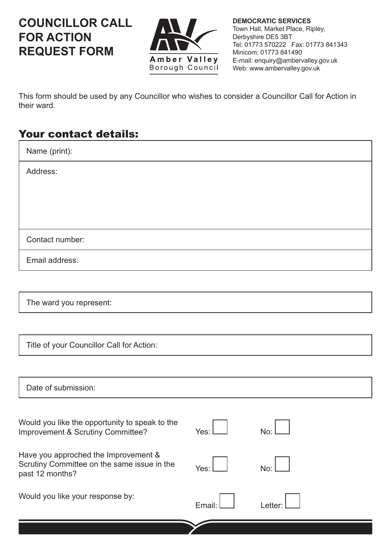## **COUNCILLOR CALL FOR ACTION REQUEST FORM**



**DEMOCRATIC SERVICES** Town Hall, Market Place, Ripley, Derbyshire DE5 3BT Tel: 01773 570222 Fax: 01773 841343 Minicom: 01773 841490 E-mail: enquiry@ambervalley.gov.uk Web: www.ambervalley.gov.uk

This form should be used by any Councillor who wishes to consider a Councillor Call for Action in their ward.

## Your contact details:

| Name (print):   |
|-----------------|
| Address:        |
|                 |
|                 |
|                 |
| Contact number: |
| Email address:  |

The ward you represent:

Title of your Councillor Call for Action:

| Date of submission:                                                                                    |        |        |
|--------------------------------------------------------------------------------------------------------|--------|--------|
| Would you like the opportunity to speak to the<br>Improvement & Scrutiny Committee?                    | Yes:   | No:    |
| Have you approched the Improvement &<br>Scrutiny Committee on the same issue in the<br>past 12 months? | Yes:   | No:    |
| Would you like your response by:                                                                       | Email: | Letter |